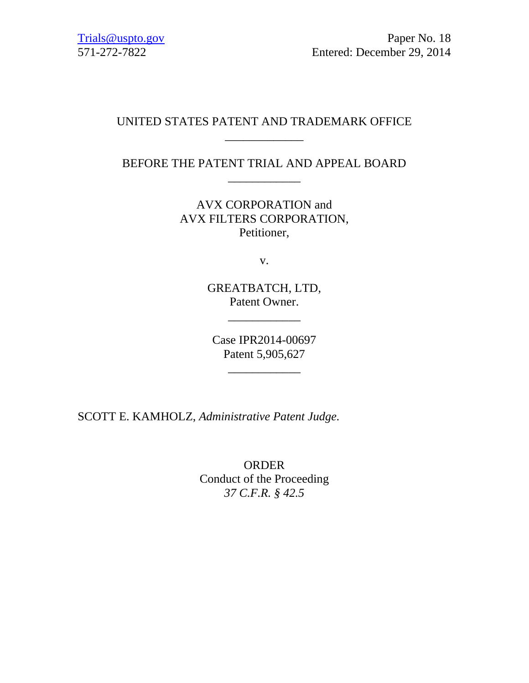## UNITED STATES PATENT AND TRADEMARK OFFICE \_\_\_\_\_\_\_\_\_\_\_\_\_

## BEFORE THE PATENT TRIAL AND APPEAL BOARD \_\_\_\_\_\_\_\_\_\_\_\_

AVX CORPORATION and AVX FILTERS CORPORATION, Petitioner,

v.

GREATBATCH, LTD, Patent Owner.

\_\_\_\_\_\_\_\_\_\_\_\_

Case IPR2014-00697 Patent 5,905,627

\_\_\_\_\_\_\_\_\_\_\_\_

SCOTT E. KAMHOLZ, *Administrative Patent Judge.*

ORDER Conduct of the Proceeding *37 C.F.R. § 42.5*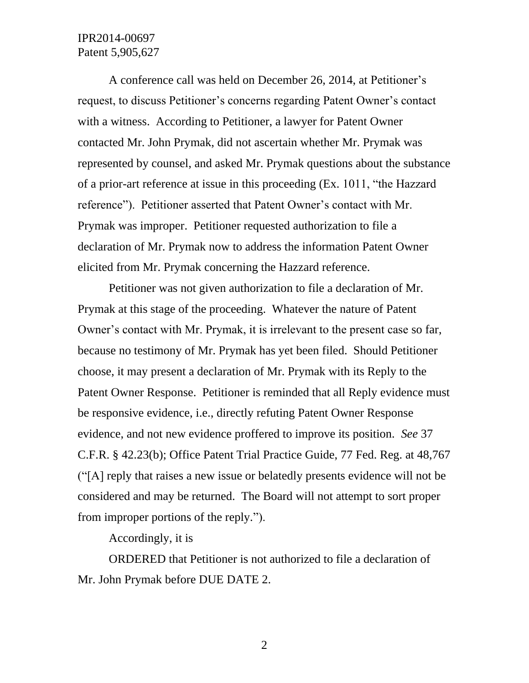## IPR2014-00697 Patent 5,905,627

A conference call was held on December 26, 2014, at Petitioner's request, to discuss Petitioner's concerns regarding Patent Owner's contact with a witness. According to Petitioner, a lawyer for Patent Owner contacted Mr. John Prymak, did not ascertain whether Mr. Prymak was represented by counsel, and asked Mr. Prymak questions about the substance of a prior-art reference at issue in this proceeding (Ex. 1011, "the Hazzard reference"). Petitioner asserted that Patent Owner's contact with Mr. Prymak was improper. Petitioner requested authorization to file a declaration of Mr. Prymak now to address the information Patent Owner elicited from Mr. Prymak concerning the Hazzard reference.

Petitioner was not given authorization to file a declaration of Mr. Prymak at this stage of the proceeding. Whatever the nature of Patent Owner's contact with Mr. Prymak, it is irrelevant to the present case so far, because no testimony of Mr. Prymak has yet been filed. Should Petitioner choose, it may present a declaration of Mr. Prymak with its Reply to the Patent Owner Response. Petitioner is reminded that all Reply evidence must be responsive evidence, i.e., directly refuting Patent Owner Response evidence, and not new evidence proffered to improve its position. *See* 37 C.F.R. § 42.23(b); Office Patent Trial Practice Guide, 77 Fed. Reg. at 48,767 ("[A] reply that raises a new issue or belatedly presents evidence will not be considered and may be returned. The Board will not attempt to sort proper from improper portions of the reply.").

Accordingly, it is

ORDERED that Petitioner is not authorized to file a declaration of Mr. John Prymak before DUE DATE 2.